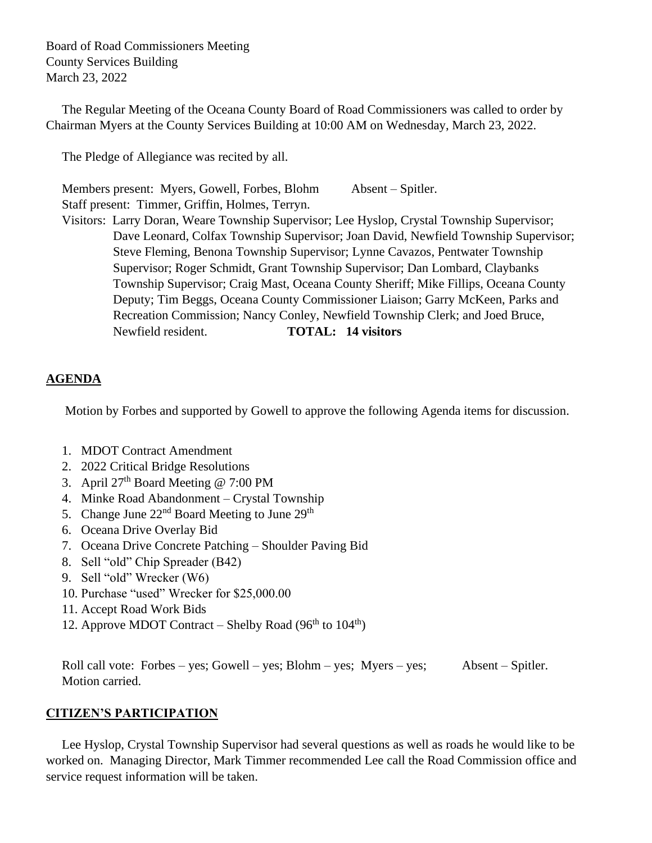Board of Road Commissioners Meeting County Services Building March 23, 2022

 The Regular Meeting of the Oceana County Board of Road Commissioners was called to order by Chairman Myers at the County Services Building at 10:00 AM on Wednesday, March 23, 2022.

The Pledge of Allegiance was recited by all.

Members present: Myers, Gowell, Forbes, Blohm Absent – Spitler. Staff present: Timmer, Griffin, Holmes, Terryn.

 Visitors: Larry Doran, Weare Township Supervisor; Lee Hyslop, Crystal Township Supervisor; Dave Leonard, Colfax Township Supervisor; Joan David, Newfield Township Supervisor; Steve Fleming, Benona Township Supervisor; Lynne Cavazos, Pentwater Township Supervisor; Roger Schmidt, Grant Township Supervisor; Dan Lombard, Claybanks Township Supervisor; Craig Mast, Oceana County Sheriff; Mike Fillips, Oceana County Deputy; Tim Beggs, Oceana County Commissioner Liaison; Garry McKeen, Parks and Recreation Commission; Nancy Conley, Newfield Township Clerk; and Joed Bruce, Newfield resident. **TOTAL: 14 visitors**

# **AGENDA**

Motion by Forbes and supported by Gowell to approve the following Agenda items for discussion.

- 1. MDOT Contract Amendment
- 2. 2022 Critical Bridge Resolutions
- 3. April 27th Board Meeting @ 7:00 PM
- 4. Minke Road Abandonment Crystal Township
- 5. Change June 22<sup>nd</sup> Board Meeting to June 29<sup>th</sup>
- 6. Oceana Drive Overlay Bid
- 7. Oceana Drive Concrete Patching Shoulder Paving Bid
- 8. Sell "old" Chip Spreader (B42)
- 9. Sell "old" Wrecker (W6)
- 10. Purchase "used" Wrecker for \$25,000.00
- 11. Accept Road Work Bids
- 12. Approve MDOT Contract Shelby Road (96<sup>th</sup> to 104<sup>th</sup>)

Roll call vote: Forbes – yes; Gowell – yes; Blohm – yes; Myers – yes; Absent – Spitler. Motion carried.

## **CITIZEN'S PARTICIPATION**

 Lee Hyslop, Crystal Township Supervisor had several questions as well as roads he would like to be worked on. Managing Director, Mark Timmer recommended Lee call the Road Commission office and service request information will be taken.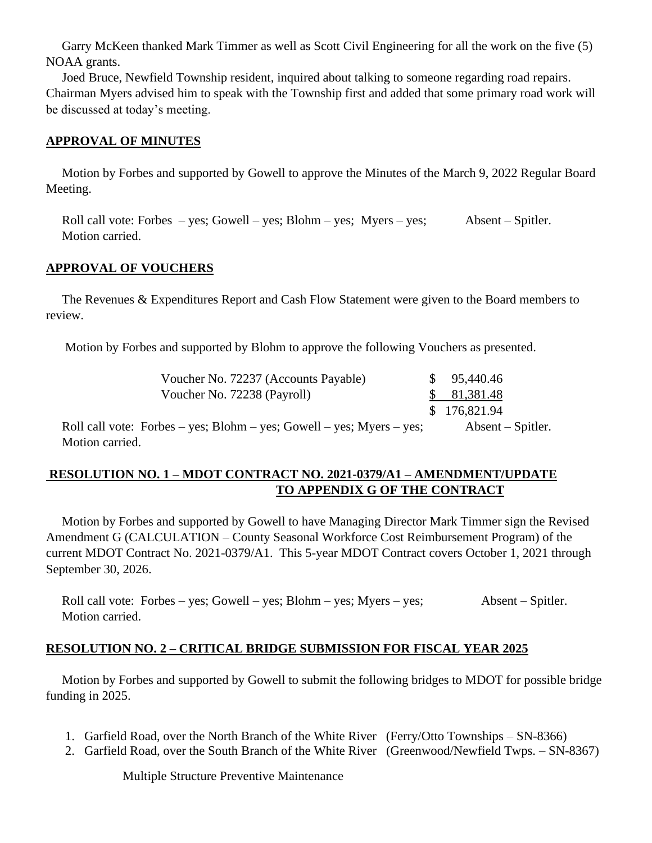Garry McKeen thanked Mark Timmer as well as Scott Civil Engineering for all the work on the five (5) NOAA grants.

 Joed Bruce, Newfield Township resident, inquired about talking to someone regarding road repairs. Chairman Myers advised him to speak with the Township first and added that some primary road work will be discussed at today's meeting.

#### **APPROVAL OF MINUTES**

Motion by Forbes and supported by Gowell to approve the Minutes of the March 9, 2022 Regular Board Meeting.

Roll call vote: Forbes – yes; Gowell – yes; Blohm – yes; Myers – yes; Absent – Spitler. Motion carried.

#### **APPROVAL OF VOUCHERS**

 The Revenues & Expenditures Report and Cash Flow Statement were given to the Board members to review.

Motion by Forbes and supported by Blohm to approve the following Vouchers as presented.

| Voucher No. 72237 (Accounts Payable)                                  | \$95,440.46                |
|-----------------------------------------------------------------------|----------------------------|
| Voucher No. 72238 (Payroll)                                           | \$81,381.48                |
|                                                                       | \$176,821.94               |
| Roll call vote: Forbes – yes; Blohm – yes; Gowell – yes; Myers – yes; | $\Lambda$ bsent – Spitler. |
| Motion carried.                                                       |                            |

# **RESOLUTION NO. 1 – MDOT CONTRACT NO. 2021-0379/A1 – AMENDMENT/UPDATE TO APPENDIX G OF THE CONTRACT**

 Motion by Forbes and supported by Gowell to have Managing Director Mark Timmer sign the Revised Amendment G (CALCULATION – County Seasonal Workforce Cost Reimbursement Program) of the current MDOT Contract No. 2021-0379/A1. This 5-year MDOT Contract covers October 1, 2021 through September 30, 2026.

 Roll call vote: Forbes – yes; Gowell – yes; Blohm – yes; Myers – yes; Absent – Spitler. Motion carried.

## **RESOLUTION NO. 2 – CRITICAL BRIDGE SUBMISSION FOR FISCAL YEAR 2025**

 Motion by Forbes and supported by Gowell to submit the following bridges to MDOT for possible bridge funding in 2025.

- 1. Garfield Road, over the North Branch of the White River (Ferry/Otto Townships SN-8366)
- 2. Garfield Road, over the South Branch of the White River (Greenwood/Newfield Twps. SN-8367)

Multiple Structure Preventive Maintenance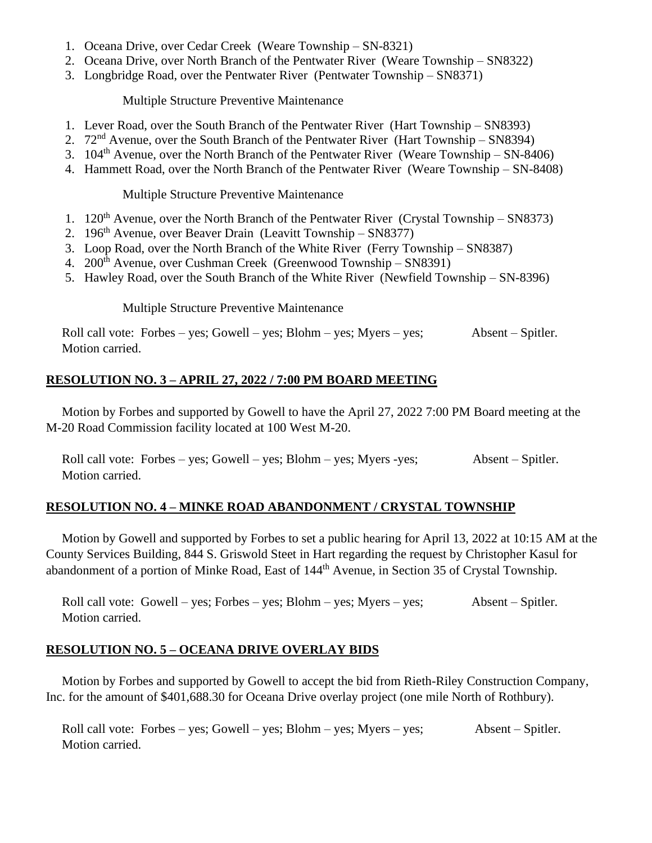- 1. Oceana Drive, over Cedar Creek (Weare Township SN-8321)
- 2. Oceana Drive, over North Branch of the Pentwater River (Weare Township SN8322)
- 3. Longbridge Road, over the Pentwater River (Pentwater Township SN8371)

Multiple Structure Preventive Maintenance

- 1. Lever Road, over the South Branch of the Pentwater River (Hart Township SN8393)
- 2. 72nd Avenue, over the South Branch of the Pentwater River (Hart Township SN8394)
- 3.  $104<sup>th</sup>$  Avenue, over the North Branch of the Pentwater River (Weare Township SN-8406)
- 4. Hammett Road, over the North Branch of the Pentwater River (Weare Township SN-8408)

Multiple Structure Preventive Maintenance

- 1.  $120^{th}$  Avenue, over the North Branch of the Pentwater River (Crystal Township SN8373)
- 2.  $196<sup>th</sup>$  Avenue, over Beaver Drain (Leavitt Township SN8377)
- 3. Loop Road, over the North Branch of the White River (Ferry Township SN8387)
- 4. 200th Avenue, over Cushman Creek (Greenwood Township SN8391)
- 5. Hawley Road, over the South Branch of the White River (Newfield Township SN-8396)

Multiple Structure Preventive Maintenance

 Roll call vote: Forbes – yes; Gowell – yes; Blohm – yes; Myers – yes; Absent – Spitler. Motion carried.

# **RESOLUTION NO. 3 – APRIL 27, 2022 / 7:00 PM BOARD MEETING**

 Motion by Forbes and supported by Gowell to have the April 27, 2022 7:00 PM Board meeting at the M-20 Road Commission facility located at 100 West M-20.

Roll call vote: Forbes – yes; Gowell – yes; Blohm – yes; Myers - yes; Absent – Spitler. Motion carried.

# **RESOLUTION NO. 4 – MINKE ROAD ABANDONMENT / CRYSTAL TOWNSHIP**

 Motion by Gowell and supported by Forbes to set a public hearing for April 13, 2022 at 10:15 AM at the County Services Building, 844 S. Griswold Steet in Hart regarding the request by Christopher Kasul for abandonment of a portion of Minke Road, East of 144<sup>th</sup> Avenue, in Section 35 of Crystal Township.

 Roll call vote: Gowell – yes; Forbes – yes; Blohm – yes; Myers – yes; Absent – Spitler. Motion carried.

# **RESOLUTION NO. 5 – OCEANA DRIVE OVERLAY BIDS**

 Motion by Forbes and supported by Gowell to accept the bid from Rieth-Riley Construction Company, Inc. for the amount of \$401,688.30 for Oceana Drive overlay project (one mile North of Rothbury).

 Roll call vote: Forbes – yes; Gowell – yes; Blohm – yes; Myers – yes; Absent – Spitler. Motion carried.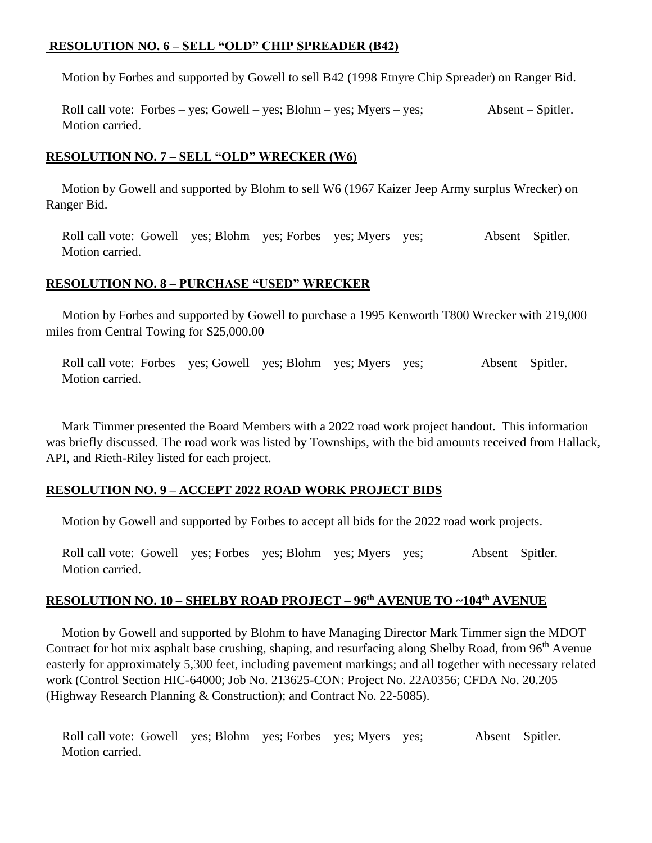# **RESOLUTION NO. 6 – SELL "OLD" CHIP SPREADER (B42)**

Motion by Forbes and supported by Gowell to sell B42 (1998 Etnyre Chip Spreader) on Ranger Bid.

 Roll call vote: Forbes – yes; Gowell – yes; Blohm – yes; Myers – yes; Absent – Spitler. Motion carried.

## **RESOLUTION NO. 7 – SELL "OLD" WRECKER (W6)**

 Motion by Gowell and supported by Blohm to sell W6 (1967 Kaizer Jeep Army surplus Wrecker) on Ranger Bid.

 Roll call vote: Gowell – yes; Blohm – yes; Forbes – yes; Myers – yes; Absent – Spitler. Motion carried.

## **RESOLUTION NO. 8 – PURCHASE "USED" WRECKER**

 Motion by Forbes and supported by Gowell to purchase a 1995 Kenworth T800 Wrecker with 219,000 miles from Central Towing for \$25,000.00

 Roll call vote: Forbes – yes; Gowell – yes; Blohm – yes; Myers – yes; Absent – Spitler. Motion carried.

 Mark Timmer presented the Board Members with a 2022 road work project handout. This information was briefly discussed. The road work was listed by Townships, with the bid amounts received from Hallack, API, and Rieth-Riley listed for each project.

## **RESOLUTION NO. 9 – ACCEPT 2022 ROAD WORK PROJECT BIDS**

Motion by Gowell and supported by Forbes to accept all bids for the 2022 road work projects.

 Roll call vote: Gowell – yes; Forbes – yes; Blohm – yes; Myers – yes; Absent – Spitler. Motion carried.

# **RESOLUTION NO. 10 – SHELBY ROAD PROJECT – 96th AVENUE TO ~104th AVENUE**

Motion by Gowell and supported by Blohm to have Managing Director Mark Timmer sign the MDOT Contract for hot mix asphalt base crushing, shaping, and resurfacing along Shelby Road, from 96<sup>th</sup> Avenue easterly for approximately 5,300 feet, including pavement markings; and all together with necessary related work (Control Section HIC-64000; Job No. 213625-CON: Project No. 22A0356; CFDA No. 20.205 (Highway Research Planning & Construction); and Contract No. 22-5085).

 Roll call vote: Gowell – yes; Blohm – yes; Forbes – yes; Myers – yes; Absent – Spitler. Motion carried.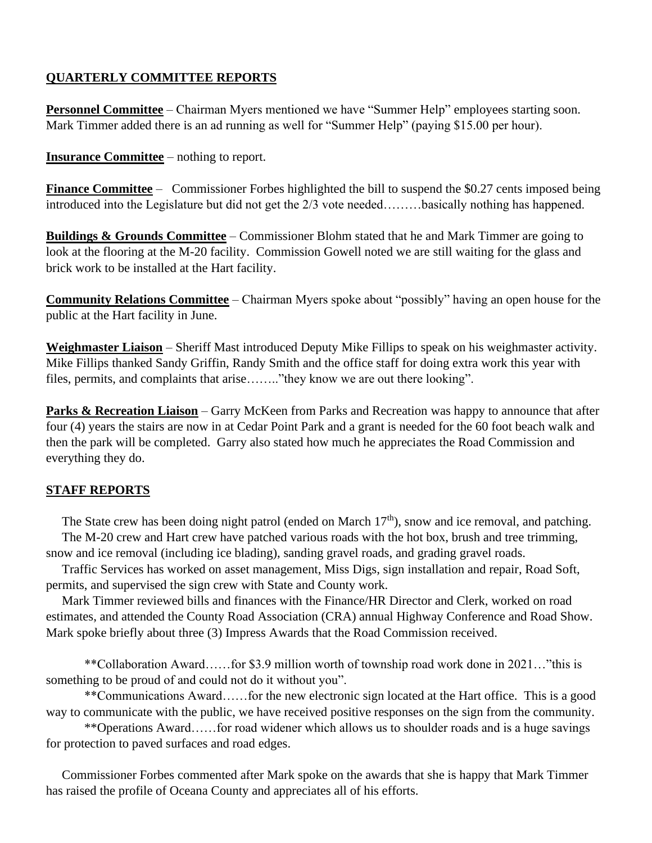# **QUARTERLY COMMITTEE REPORTS**

**Personnel Committee** – Chairman Myers mentioned we have "Summer Help" employees starting soon. Mark Timmer added there is an ad running as well for "Summer Help" (paying \$15.00 per hour).

## **Insurance Committee** – nothing to report.

**Finance Committee** – Commissioner Forbes highlighted the bill to suspend the \$0.27 cents imposed being introduced into the Legislature but did not get the 2/3 vote needed………basically nothing has happened.

**Buildings & Grounds Committee** – Commissioner Blohm stated that he and Mark Timmer are going to look at the flooring at the M-20 facility. Commission Gowell noted we are still waiting for the glass and brick work to be installed at the Hart facility.

**Community Relations Committee** – Chairman Myers spoke about "possibly" having an open house for the public at the Hart facility in June.

**Weighmaster Liaison** – Sheriff Mast introduced Deputy Mike Fillips to speak on his weighmaster activity. Mike Fillips thanked Sandy Griffin, Randy Smith and the office staff for doing extra work this year with files, permits, and complaints that arise…….."they know we are out there looking".

**Parks & Recreation Liaison** – Garry McKeen from Parks and Recreation was happy to announce that after four (4) years the stairs are now in at Cedar Point Park and a grant is needed for the 60 foot beach walk and then the park will be completed. Garry also stated how much he appreciates the Road Commission and everything they do.

## **STAFF REPORTS**

The State crew has been doing night patrol (ended on March 17<sup>th</sup>), snow and ice removal, and patching. The M-20 crew and Hart crew have patched various roads with the hot box, brush and tree trimming, snow and ice removal (including ice blading), sanding gravel roads, and grading gravel roads.

 Traffic Services has worked on asset management, Miss Digs, sign installation and repair, Road Soft, permits, and supervised the sign crew with State and County work.

 Mark Timmer reviewed bills and finances with the Finance/HR Director and Clerk, worked on road estimates, and attended the County Road Association (CRA) annual Highway Conference and Road Show. Mark spoke briefly about three (3) Impress Awards that the Road Commission received.

\*\*Collaboration Award……for \$3.9 million worth of township road work done in 2021…"this is something to be proud of and could not do it without you".

\*\*Communications Award……for the new electronic sign located at the Hart office. This is a good way to communicate with the public, we have received positive responses on the sign from the community.

\*\*Operations Award……for road widener which allows us to shoulder roads and is a huge savings for protection to paved surfaces and road edges.

 Commissioner Forbes commented after Mark spoke on the awards that she is happy that Mark Timmer has raised the profile of Oceana County and appreciates all of his efforts.